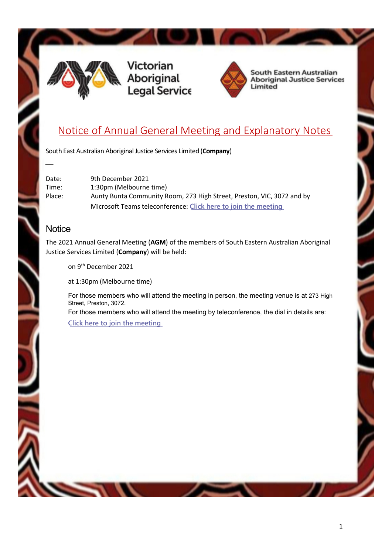

Victorian Aborigina<mark>l</mark><br>Legal Service



**South Eastern Australian Aboriginal Justice Services** Limited

## Notice of Annual General Meeting and Explanatory Notes

South East Australian Aboriginal Justice Services Limited (Company)

| Date:  | 9th December 2021                                                      |
|--------|------------------------------------------------------------------------|
| Time:  | 1:30pm (Melbourne time)                                                |
| Place: | Aunty Bunta Community Room, 273 High Street, Preston, VIC, 3072 and by |
|        | Microsoft Teams teleconference: Click here to join the meeting         |

#### **Notice**

 $\overline{\phantom{a}}$ 

The 2021 Annual General Meeting (AGM) of the members of South Eastern Australian Aboriginal Justice Services Limited (Company) will be held:

on 9<sup>th</sup> December 2021

at 1:30pm (Melbourne time)

For those members who will attend the meeting in person, the meeting venue is at 273 High Street, Preston, 3072.

For those members who will attend the meeting by teleconference, the dial in details are: Click here to join the [meeting](https://teams.microsoft.com/l/meetup-join/19%3ameeting_MjhjODUxZTktYmUwOS00OTA0LWFmMGEtM2E5NWVmNDNmYjlj%40thread.v2/0?context=%7b%22Tid%22%3a%22495deb87-3d6c-4e8c-974f-41a92aaaac21%22%2c%22Oid%22%3a%22f26d850e-db34-4c87-96eb-76bc4c5039ee%22%7d)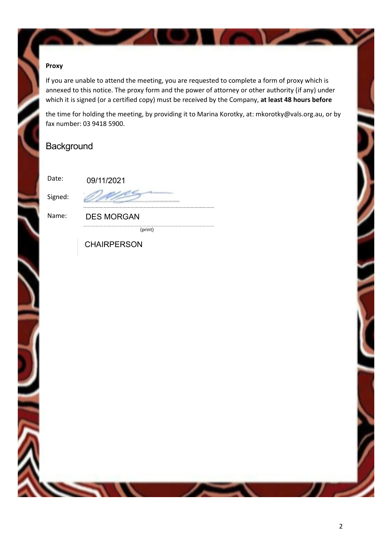#### Proxy

If you are unable to attend the meeting, you are requested to complete a form of proxy which is annexed to this notice. The proxy form and the power of attorney or other authority (if any) under which it is signed (or a certified copy) must be received by the Company, at least 48 hours before

the time for holding the meeting, by providing it to Marina Korotky, at: mkorotky@vals.org.au, or by fax number: 03 9418 5900.

### **Background**

Date:

Signed:

| 09/11/2021 |  |
|------------|--|
|            |  |

Name: DES MORGAN

(print)

**CHAIRPERSON**